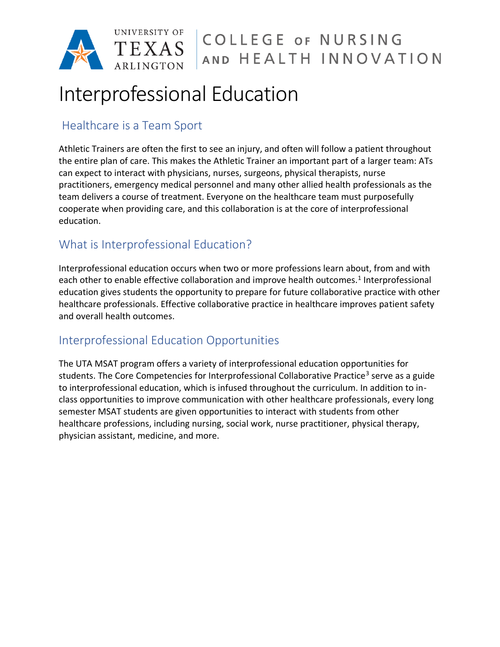

# Interprofessional Education

### Healthcare is a Team Sport

Athletic Trainers are often the first to see an injury, and often will follow a patient throughout the entire plan of care. This makes the Athletic Trainer an important part of a larger team: ATs can expect to interact with physicians, nurses, surgeons, physical therapists, nurse practitioners, emergency medical personnel and many other allied health professionals as the team delivers a course of treatment. Everyone on the healthcare team must purposefully cooperate when providing care, and this collaboration is at the core of interprofessional education.

### What is Interprofessional Education?

Interprofessional education occurs when two or more professions learn about, from and with each other to enable effective collaboration and improve health outcomes.<sup>1</sup> Interprofessional education gives students the opportunity to prepare for future collaborative practice with other healthcare professionals. Effective collaborative practice in healthcare improves patient safety and overall health outcomes.

## Interprofessional Education Opportunities

The UTA MSAT program offers a variety of interprofessional education opportunities for students. The Core Competencies for Interprofessional Collaborative Practice<sup>3</sup> serve as a guide to interprofessional education, which is infused throughout the curriculum. In addition to inclass opportunities to improve communication with other healthcare professionals, every long semester MSAT students are given opportunities to interact with students from other healthcare professions, including nursing, social work, nurse practitioner, physical therapy, physician assistant, medicine, and more.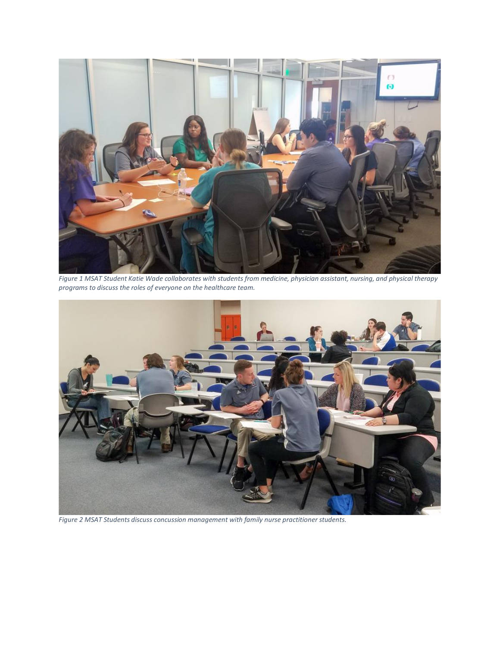

*Figure 1 MSAT Student Katie Wade collaborates with students from medicine, physician assistant, nursing, and physical therapy programs to discuss the roles of everyone on the healthcare team.*



*Figure 2 MSAT Students discuss concussion management with family nurse practitioner students.*